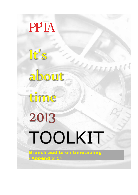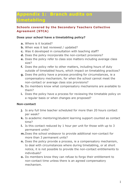# **Appendix 1: Branch audits on timetabling**

## **Schools covered by the Secondary Teachers Collective Agreement (STCA)**

#### **Does your school have a timetabling policy?**

- **a.** Where is it located?
- **b.** When was it last reviewed / updated?
- **c.** Was it developed in consultation with teaching staff?
- **d.** Does the policy incorporate the non-contact provisions?
- **e.** Does the policy refer to class size matters including average class size?
- **f.** Does the policy refer to other matters, including hours of duty outside of timetabled hours, which impact on timetabling practices?
- **g.** Does the policy have a process providing for circumstances, ie a compensatory mechanism, for when the school cannot meet the non-contact or average class size provisions?
- **h.** Do members know what compensatory mechanisms are available to them?
- **i.** Does the policy have a process for reviewing the timetable policy on a regular basis or when changes are proposed?

## **Non-contact**

- **j.** Is any full time teacher scheduled for more than 20 hours contact per week?
- **k.** Is academic mentoring/student learning support counted as contact time?
- **l.** Is this contact reduced by 1 hour per unit for those with up to 3 permanent units?
- **m.**Does the school endeavor to provide additional non-contact for more than 3 permanent units?
- **n.** Does the policy provide a process, ie a compensatory mechanism, to deal with circumstances where during timetabling, or at short notice, it is not possible to provide the non-contact entitlements to individuals?
- **o.** Do members know they can refuse to forgo their entitlement to non-contact time unless there is an agreed compensatory mechanism.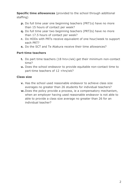**Specific time allowances** (provided to the school through additional staffing)

- **p.** Do full time year one beginning teachers (PRT1s) have no more than 15 hours of contact per week?
- **q.** Do full time year two beginning teachers (PRT2s) have no more than 17.5 hours of contact per week?
- **r.** Do HODs with PRTs receive equivalent of one hour/week to support each PRT?
- **s.** Do the SCT and Te Atakura receive their time allowances?

## **Part-time teachers**

- **t.** Do part time teachers (18 hrs+/wk) get their minimum non-contact time?
- **u.** Does the school endeavor to provide equitable non-contact time to part-time teachers of 12 +hrs/wk?

# **Class size**

- **v.** Has the school used reasonable endeavor to achieve class size averages no greater than 26 students for individual teachers?
- **w.** Does the policy provide a process, ie a compensatory mechanism, when an employer having used reasonable endeavor is not able to able to provide a class size average no greater than 26 for an individual teacher?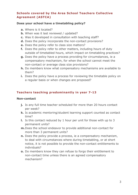# **Schools covered by the Area School Teachers Collective Agreement (ASTCA)**

#### **Does your school have a timetabling policy?**

- **a.** Where is it located?
- **b.** When was it last reviewed / updated?
- **c.** Was it developed in consultation with teaching staff?
- **d.** Does the policy incorporate the non-contact provisions?
- **e.** Does the policy refer to class size matters?
- **f.** Does the policy refer to other matters, including hours of duty outside of timetabled hours, which impact on timetabling practices?
- **g.** Does the policy have a process providing for circumstances, ie a compensatory mechanism, for when the school cannot meet the non-contact or average class size provisions?
- **h.** Do members know what compensatory mechanisms are available to them?
- **i.** Does the policy have a process for reviewing the timetable policy on a regular basis or when changes are proposed?

# **Teachers teaching predominantly in year 7-13**

#### **Non-contact**

- **j.** Is any full time teacher scheduled for more than 20 hours contact per week?
- **k.** Is academic mentoring/student learning support counted as contact time?
- **l.** Is this contact reduced by 1 hour per unit for those with up to 3 permanent units?
- **m.**Does the school endeavor to provide additional non-contact for more than 3 permanent units?
- **n.** Does the policy provide a process, ie a compensatory mechanism, to deal with circumstances where during timetabling, or at short notice, it is not possible to provide the non-contact entitlements to individuals?
- **o.** Do members know they can refuse to forgo their entitlement to non-contact time unless there is an agreed compensatory mechanism?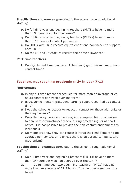**Specific time allowances** (provided to the school through additional staffing)

- **p.** Do full time year one beginning teachers (PRT1s) have no more than 15 hours of contact per week?
- **q.** Do full time year two beginning teachers (PRT2s) have no more than 17.5 hours of contact per week?
- **r.** Do HODs with PRTs receive equivalent of one hour/week to support each PRT?
- **s.** Do the ST and Te Atakura receive their time allowances?

#### **Part-time teachers**

**t.** Do eligible part time teachers (18hrs+/wk) get their minimum noncontact time?

## **Teachers not teaching predominantly in year 7-13**

#### **Non-contact**

- **u.** Is any full time teacher scheduled for more than an average of 24 hours contact per week over the term?
- **v.** Is academic mentoring/student learning support counted as contact time?
- **w.** Does the school endeavor to reduced contact for those with units or their equivalents?
- **x.** Does the policy provide a process, ie a compensatory mechanism, to deal with circumstances where during timetabling, or at short notice, it is not possible to provide the non-contact entitlements to individuals?
- **y.** Do members know they can refuse to forgo their entitlement to the average non-contact time unless there is an agreed compensatory mechanism?

**Specific time allowances** (provided to the school through additional staffing)

- **z.** Do full time year one beginning teachers (PRT1s) have no more than 19 hours per week on average over the term?
- **aa.** Do full time year two beginning teachers (PRT2s) have no more than an average of 21.5 hours of contact per week over the term?